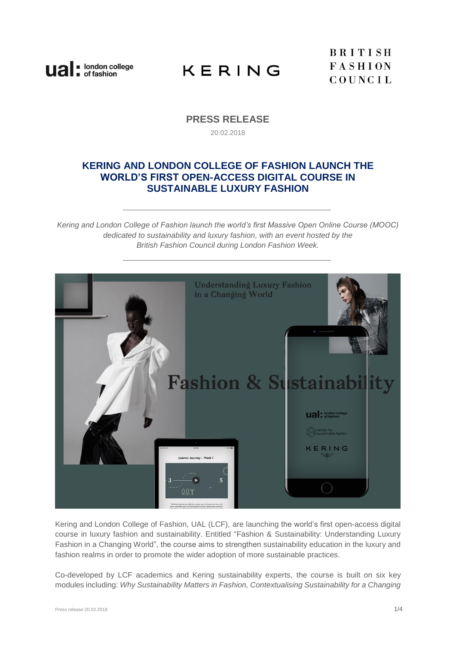

**BRITISH FASHION** COUNCIL

## **PRESS RELEASE** 20.02.2018

# **KERING AND LONDON COLLEGE OF FASHION LAUNCH THE WORLD'S FIRST OPEN-ACCESS DIGITAL COURSE IN SUSTAINABLE LUXURY FASHION**

*Kering and London College of Fashion launch the world's first Massive Open Online Course (MOOC) dedicated to sustainability and luxury fashion, with an event hosted by the British Fashion Council during London Fashion Week.*



Kering and London College of Fashion, UAL (LCF), are launching the world's first open-access digital course in luxury fashion and sustainability. Entitled ["Fashion & Sustainability: Understanding Luxury](http://www.futurelearn.com/courses/Fashion-And-Sustainability)  [Fashion in a Changing World"](http://www.futurelearn.com/courses/Fashion-And-Sustainability), the course aims to strengthen sustainability education in the luxury and fashion realms in order to promote the wider adoption of more sustainable practices.

Co-developed by LCF academics and Kering sustainability experts, the [course](https://www.futurelearn.com/courses/fashion-and-sustainability) is built on six key modules including: *Why Sustainability Matters in Fashion, Contextualising Sustainability for a Changing*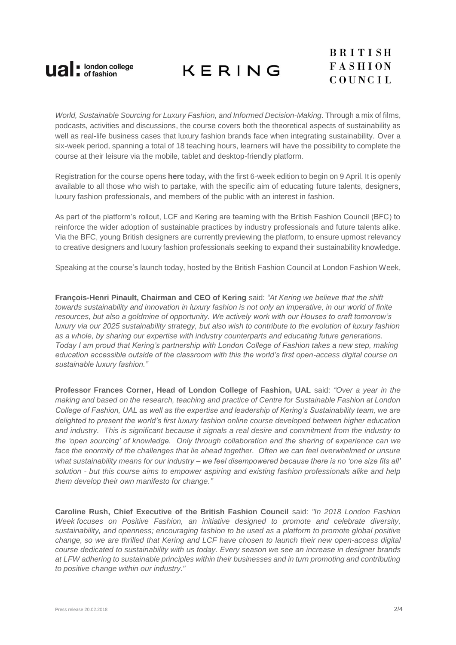

*World, Sustainable Sourcing for Luxury Fashion, and Informed Decision-Making*. Through a mix of films, podcasts, activities and discussions, the course covers both the theoretical aspects of sustainability as well as real-life business cases that luxury fashion brands face when integrating sustainability. Over a six-week period, spanning a total of 18 teaching hours, learners will have the possibility to complete the [course](http://www.futurelearn.com/courses/Fashion-And-Sustainability) at their leisure via the mobile, tablet and desktop-friendly platform.

Registration for the course opens **here** [today](https://www.futurelearn.com/courses/fashion-and-sustainability)**,** with the first 6-week edition to begin on 9 April. It is openly available to all those who wish to partake, with the specific aim of educating future talents, designers, luxury fashion professionals, and members of the public with an interest in fashion.

As part of the platform's rollout, LCF and Kering are teaming with the British Fashion Council (BFC) to reinforce the wider adoption of sustainable practices by industry professionals and future talents alike. Via the BFC, young British designers are currently previewing the platform, to ensure upmost relevancy to creative designers and luxury fashion professionals seeking to expand their sustainability knowledge.

Speaking at the course's launch today, hosted by the British Fashion Council at London Fashion Week,

**François-Henri Pinault, Chairman and CEO of Kering** said: *"At Kering we believe that the shift towards sustainability and innovation in luxury fashion is not only an imperative, in our world of finite resources, but also a goldmine of opportunity. We actively work with our Houses to craft tomorrow's luxury via our 2025 sustainability strategy, but also wish to contribute to the evolution of luxury fashion as a whole, by sharing our expertise with industry counterparts and educating future generations. Today I am proud that Kering's partnership with London College of Fashion takes a new step, making education accessible outside of the classroom with this the world's first open-access digital course on sustainable luxury fashion."*

**Professor Frances Corner, Head of London College of Fashion, UAL** said: *"Over a year in the making and based on the research, teaching and practice of Centre for Sustainable Fashion at London College of Fashion, UAL as well as the expertise and leadership of Kering's Sustainability team, we are delighted to present the world's first luxury fashion online course developed between higher education and industry. This is significant because it signals a real desire and commitment from the industry to the 'open sourcing' of knowledge. Only through collaboration and the sharing of experience can we*  face the enormity of the challenges that lie ahead together. Often we can feel overwhelmed or unsure *what sustainability means for our industry – we feel disempowered because there is no 'one size fits all' solution - but this course aims to empower aspiring and existing fashion professionals alike and help them develop their own manifesto for change."*

**Caroline Rush, Chief Executive of the British Fashion Council** said: *"In 2018 London Fashion Week focuses on Positive Fashion, an initiative designed to promote and celebrate diversity, sustainability, and openness; encouraging fashion to be used as a platform to promote global positive change, so we are thrilled that Kering and LCF have chosen to launch their new open-access digital course dedicated to sustainability with us today. Every season we see an increase in designer brands at LFW adhering to sustainable principles within their businesses and in turn promoting and contributing to positive change within our industry."*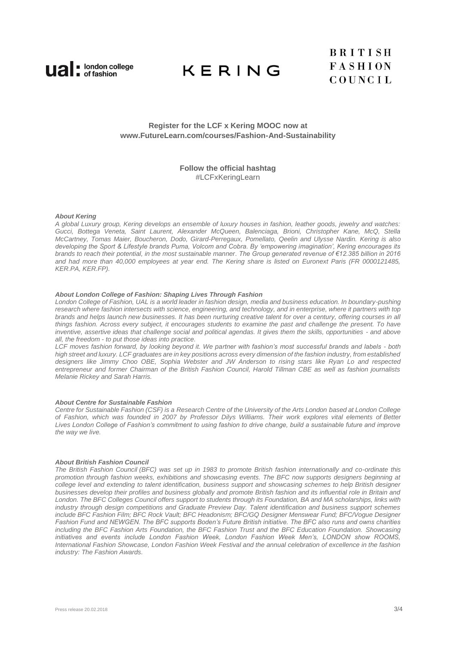

## **Register for the LCF x Kering MOOC now at [www.FutureLearn.com/courses/Fashion-And-Sustainability](file:///C:/Users/tmp-emer.hallahan/AppData/Local/Microsoft/Windows/INetCache/Content.Outlook/M0G03H1V/www.FutureLearn.com/courses/Fashion-And-Sustainability)**

### **Follow the official hashtag** #LCFxKeringLearn

#### *About Kering*

*A global Luxury group, Kering develops an ensemble of luxury houses in fashion, leather goods, jewelry and watches: Gucci, Bottega Veneta, Saint Laurent, Alexander McQueen, Balenciaga, Brioni, Christopher Kane, McQ, Stella McCartney, Tomas Maier, Boucheron, Dodo, Girard-Perregaux, Pomellato, Qeelin and Ulysse Nardin. Kering is also developing the Sport & Lifestyle brands Puma, Volcom and Cobra. By 'empowering imagination', Kering encourages its brands to reach their potential, in the most sustainable manner. The Group generated revenue of €12.385 billion in 2016 and had more than 40,000 employees at year end. The Kering share is listed on Euronext Paris (FR 0000121485, KER.PA, KER.FP).* 

#### *[About London College of Fashion: Shaping Lives Through Fashion](http://www.arts.ac.uk/fashion/)*

*London College of Fashion, UAL is a world leader in fashion design, media and business education. In boundary-pushing research where fashion intersects with science, engineering, and technology, and in enterprise, where it partners with top brands and helps launch new businesses. It has been nurturing creative talent for over a century, offering courses in all things fashion. Across every subject, it encourages students to examine the past and challenge the present. To have inventive, assertive ideas that challenge social and political agendas. It gives them the skills, opportunities - and above all, the freedom - to put those ideas into practice.* 

*LCF moves fashion forward, by looking beyond it. We partner with fashion's most successful brands and labels - both high street and luxury. LCF graduates are in key positions across every dimension of the fashion industry, from established designers like Jimmy Choo OBE, Sophia Webster and JW Anderson to rising stars like Ryan Lo and respected entrepreneur and former Chairman of the British Fashion Council, Harold Tillman CBE as well as fashion journalists Melanie Rickey and Sarah Harris.*

#### *[About Centre for Sustainable Fashion](http://sustainable-fashion.com/)*

*Centre for Sustainable Fashion (CSF) is a [Research Centre of the University of the Arts London](http://www.arts.ac.uk/research/ual-research-centres/) based at London College of Fashion, which was founded in 2007 by Professor Dilys Williams. Their work explores vital elements of [Better](http://www.arts.ac.uk/fashion/about/better-lives/)  [Lives](http://www.arts.ac.uk/fashion/about/better-lives/) London College of Fashion's commitment to using fashion to drive change, build a sustainable future and improve the way we live.*

#### *About British Fashion Council*

*The British Fashion Council (BFC) was set up in 1983 to promote British fashion internationally and co-ordinate this promotion through fashion weeks, exhibitions and showcasing events. The BFC now supports designers beginning at college level and extending to talent identification, business support and showcasing schemes to help British designer businesses develop their profiles and business globally and promote British fashion and its influential role in Britain and London. The BFC Colleges Council offers support to students through its Foundation, BA and MA scholarships, links with industry through design competitions and Graduate Preview Day. Talent identification and business support schemes include BFC Fashion Film; BFC Rock Vault; BFC Headonism; BFC/GQ Designer Menswear Fund; BFC/Vogue Designer Fashion Fund and NEWGEN. The BFC supports Boden's Future British initiative. The BFC also runs and owns charities including the BFC Fashion Arts Foundation, the BFC Fashion Trust and the BFC Education Foundation. Showcasing initiatives and events include London Fashion Week, London Fashion Week Men's, LONDON show ROOMS, International Fashion Showcase, London Fashion Week Festival and the annual celebration of excellence in the fashion industry: The Fashion Awards.*